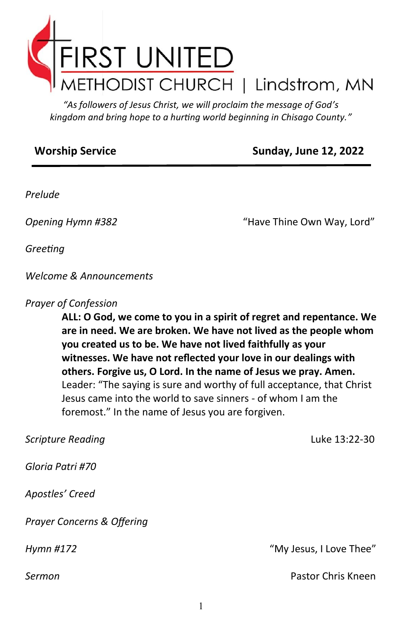

*"As followers of Jesus Christ, we will proclaim the message of God's kingdom and bring hope to a hurting world beginning in Chisago County."*

#### **Worship Service** Sunday, June 12, 2022

*Prelude*

*Opening Hymn #382* "Have Thine Own Way, Lord"

*Greeting*

*Welcome & Announcements*

#### *Prayer of Confession*

**ALL: O God, we come to you in a spirit of regret and repentance. We are in need. We are broken. We have not lived as the people whom you created us to be. We have not lived faithfully as your witnesses. We have not reflected your love in our dealings with others. Forgive us, O Lord. In the name of Jesus we pray. Amen.**  Leader: "The saying is sure and worthy of full acceptance, that Christ Jesus came into the world to save sinners - of whom I am the foremost." In the name of Jesus you are forgiven.

| <b>Scripture Reading</b>              | Luke 13:22-30           |
|---------------------------------------|-------------------------|
| Gloria Patri #70                      |                         |
| Apostles' Creed                       |                         |
| <b>Prayer Concerns &amp; Offering</b> |                         |
| Hymn #172                             | "My Jesus, I Love Thee" |
| Sermon                                | Pastor Chris Kneen      |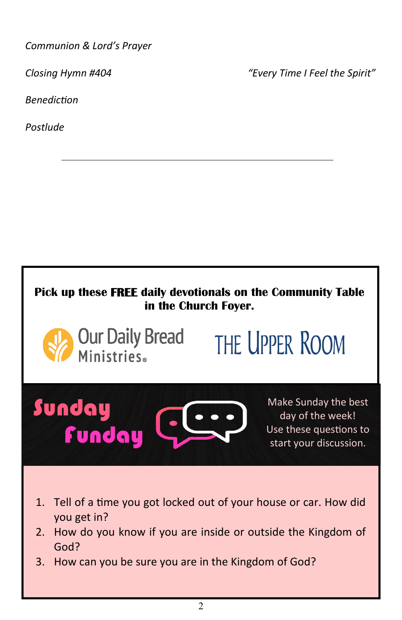*Communion & Lord's Prayer* 

*Closing Hymn #404 "Every Time I Feel the Spirit"*

*Benediction* 

*Postlude*

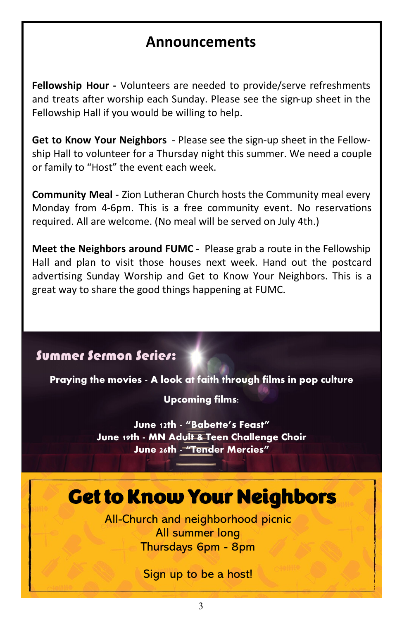# **Announcements**

**Fellowship Hour -** Volunteers are needed to provide/serve refreshments and treats after worship each Sunday. Please see the sign-up sheet in the Fellowship Hall if you would be willing to help.

**Get to Know Your Neighbors** - Please see the sign-up sheet in the Fellowship Hall to volunteer for a Thursday night this summer. We need a couple or family to "Host" the event each week.

**Community Meal -** Zion Lutheran Church hosts the Community meal every Monday from 4-6pm. This is a free community event. No reservations required. All are welcome. (No meal will be served on July 4th.)

**Meet the Neighbors around FUMC -** Please grab a route in the Fellowship Hall and plan to visit those houses next week. Hand out the postcard advertising Sunday Worship and Get to Know Your Neighbors. This is a great way to share the good things happening at FUMC.

# Summer Sermon Series:

**Praying the movies - A look at faith through films in pop culture**

**Upcoming films:**

**June 12th - "Babette's Feast" June 19th - MN Adult & Teen Challenge Choir June 26th - "Tender Mercies"**

# Get to Know Your Neighbors

All-Church and neighborhood picnic All summer long Thursdays 6pm - 8pm

Sign up to be a host!